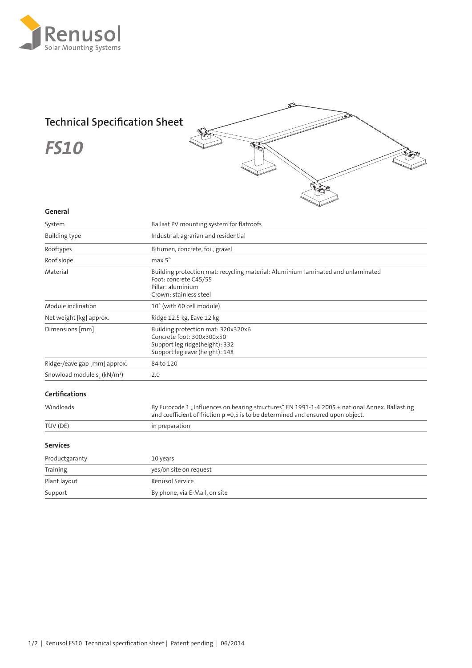

## **Technical Specification Sheet**

*FS10*



## **General**

| System                                         | Ballast PV mounting system for flatroofs                                                                                                                                              |  |
|------------------------------------------------|---------------------------------------------------------------------------------------------------------------------------------------------------------------------------------------|--|
| <b>Building type</b>                           | Industrial, agrarian and residential                                                                                                                                                  |  |
| Rooftypes                                      | Bitumen, concrete, foil, gravel                                                                                                                                                       |  |
| Roof slope                                     | $max 5^\circ$                                                                                                                                                                         |  |
| Material                                       | Building protection mat: recycling material: Aluminium laminated and unlaminated<br>Foot: concrete C45/55<br>Pillar: aluminium<br>Crown: stainless steel                              |  |
| Module inclination                             | 10° (with 60 cell module)                                                                                                                                                             |  |
| Net weight [kg] approx.                        | Ridge 12.5 kg, Eave 12 kg                                                                                                                                                             |  |
| Dimensions [mm]                                | Building protection mat: 320x320x6<br>Concrete foot: 300x300x50<br>Support leg ridge(height): 332<br>Support leg eave (height): 148                                                   |  |
| Ridge-/eave gap [mm] approx.                   | 84 to 120                                                                                                                                                                             |  |
| Snowload module $s_{\nu}$ (kN/m <sup>2</sup> ) | 2.0                                                                                                                                                                                   |  |
| <b>Certifications</b>                          |                                                                                                                                                                                       |  |
| Windloads                                      | By Eurocode 1 "Influences on bearing structures" EN 1991-1-4:2005 + national Annex. Ballasting<br>and coefficient of friction $\mu$ =0,5 is to be determined and ensured upon object. |  |
| TÜV (DE)                                       | in preparation                                                                                                                                                                        |  |
| <b>Services</b>                                |                                                                                                                                                                                       |  |
| Productgaranty                                 | 10 years                                                                                                                                                                              |  |
| Training                                       | yes/on site on request                                                                                                                                                                |  |
| Plant layout                                   | <b>Renusol Service</b>                                                                                                                                                                |  |
| Support                                        | By phone, via E-Mail, on site                                                                                                                                                         |  |